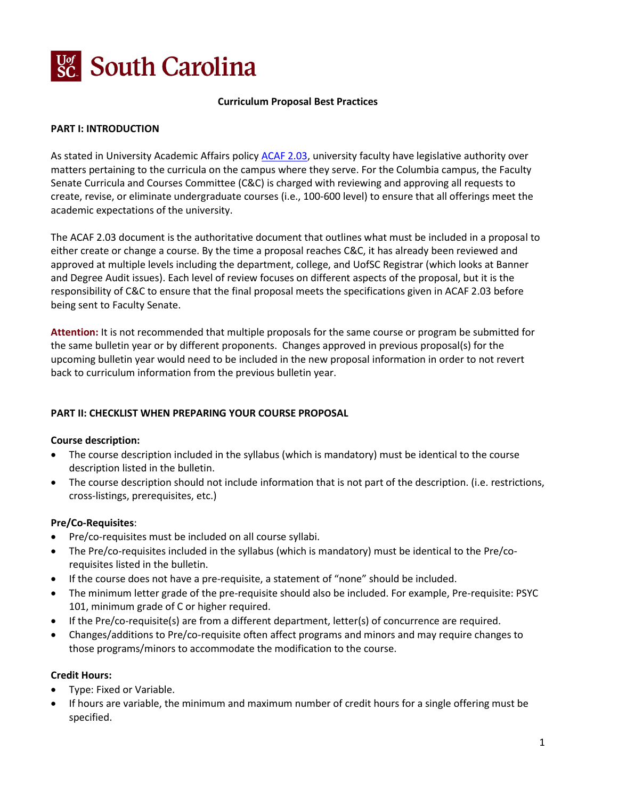

#### **Curriculum Proposal Best Practices**

#### **PART I: INTRODUCTION**

As stated in University Academic Affairs policy [ACAF 2.03,](http://www.sc.edu/policies/ppm/acaf203.pdf) university faculty have legislative authority over matters pertaining to the curricula on the campus where they serve. For the Columbia campus, the Faculty Senate Curricula and Courses Committee (C&C) is charged with reviewing and approving all requests to create, revise, or eliminate undergraduate courses (i.e., 100-600 level) to ensure that all offerings meet the academic expectations of the university.

The ACAF 2.03 document is the authoritative document that outlines what must be included in a proposal to either create or change a course. By the time a proposal reaches C&C, it has already been reviewed and approved at multiple levels including the department, college, and UofSC Registrar (which looks at Banner and Degree Audit issues). Each level of review focuses on different aspects of the proposal, but it is the responsibility of C&C to ensure that the final proposal meets the specifications given in ACAF 2.03 before being sent to Faculty Senate.

**Attention:** It is not recommended that multiple proposals for the same course or program be submitted for the same bulletin year or by different proponents. Changes approved in previous proposal(s) for the upcoming bulletin year would need to be included in the new proposal information in order to not revert back to curriculum information from the previous bulletin year.

#### **PART II: CHECKLIST WHEN PREPARING YOUR COURSE PROPOSAL**

#### **Course description:**

- The course description included in the syllabus (which is mandatory) must be identical to the course description listed in the bulletin.
- The course description should not include information that is not part of the description. (i.e. restrictions, cross-listings, prerequisites, etc.)

#### **Pre/Co-Requisites**:

- Pre/co-requisites must be included on all course syllabi.
- The Pre/co-requisites included in the syllabus (which is mandatory) must be identical to the Pre/corequisites listed in the bulletin.
- If the course does not have a pre-requisite, a statement of "none" should be included.
- The minimum letter grade of the pre-requisite should also be included. For example, Pre-requisite: PSYC 101, minimum grade of C or higher required.
- If the Pre/co-requisite(s) are from a different department, letter(s) of concurrence are required.
- Changes/additions to Pre/co-requisite often affect programs and minors and may require changes to those programs/minors to accommodate the modification to the course.

#### **Credit Hours:**

- Type: Fixed or Variable.
- If hours are variable, the minimum and maximum number of credit hours for a single offering must be specified.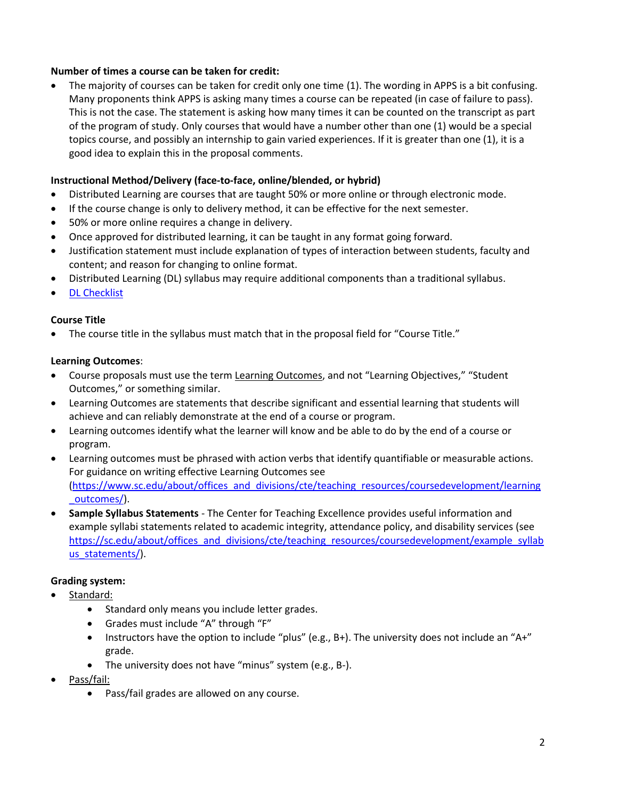#### **Number of times a course can be taken for credit:**

• The majority of courses can be taken for credit only one time (1). The wording in APPS is a bit confusing. Many proponents think APPS is asking many times a course can be repeated (in case of failure to pass). This is not the case. The statement is asking how many times it can be counted on the transcript as part of the program of study. Only courses that would have a number other than one (1) would be a special topics course, and possibly an internship to gain varied experiences. If it is greater than one (1), it is a good idea to explain this in the proposal comments.

## **Instructional Method/Delivery (face-to-face, online/blended, or hybrid)**

- Distributed Learning are courses that are taught 50% or more online or through electronic mode.
- If the course change is only to delivery method, it can be effective for the next semester.
- 50% or more online requires a change in delivery.
- Once approved for distributed learning, it can be taught in any format going forward.
- Justification statement must include explanation of types of interaction between students, faculty and content; and reason for changing to online format.
- Distributed Learning (DL) syllabus may require additional components than a traditional syllabus.
- [DL Checklist](https://sc.edu/about/offices_and_divisions/faculty_senate/committees/instructional-development/doc/indev_checklist.pdf)

#### **Course Title**

• The course title in the syllabus must match that in the proposal field for "Course Title."

#### **Learning Outcomes**:

- Course proposals must use the term Learning Outcomes, and not "Learning Objectives," "Student Outcomes," or something similar.
- Learning Outcomes are statements that describe significant and essential learning that students will achieve and can reliably demonstrate at the end of a course or program.
- Learning outcomes identify what the learner will know and be able to do by the end of a course or program.
- Learning outcomes must be phrased with action verbs that identify quantifiable or measurable actions. For guidance on writing effective Learning Outcomes see [\(https://www.sc.edu/about/offices\\_and\\_divisions/cte/teaching\\_resources/coursedevelopment/learning](https://www.sc.edu/about/offices_and_divisions/cte/teaching_resources/coursedevelopment/learning_outcomes/) [\\_outcomes/\)](https://www.sc.edu/about/offices_and_divisions/cte/teaching_resources/coursedevelopment/learning_outcomes/).
- **Sample Syllabus Statements** The Center for Teaching Excellence provides useful information and example syllabi statements related to academic integrity, attendance policy, and disability services (see [https://sc.edu/about/offices\\_and\\_divisions/cte/teaching\\_resources/coursedevelopment/example\\_syllab](https://sc.edu/about/offices_and_divisions/cte/teaching_resources/coursedevelopment/example_syllabus_statements/) [us\\_statements/\)](https://sc.edu/about/offices_and_divisions/cte/teaching_resources/coursedevelopment/example_syllabus_statements/).

#### **Grading system:**

- Standard:
	- Standard only means you include letter grades.
	- Grades must include "A" through "F"
	- Instructors have the option to include "plus" (e.g., B+). The university does not include an "A+" grade.
	- The university does not have "minus" system (e.g., B-).
- Pass/fail:
	- Pass/fail grades are allowed on any course.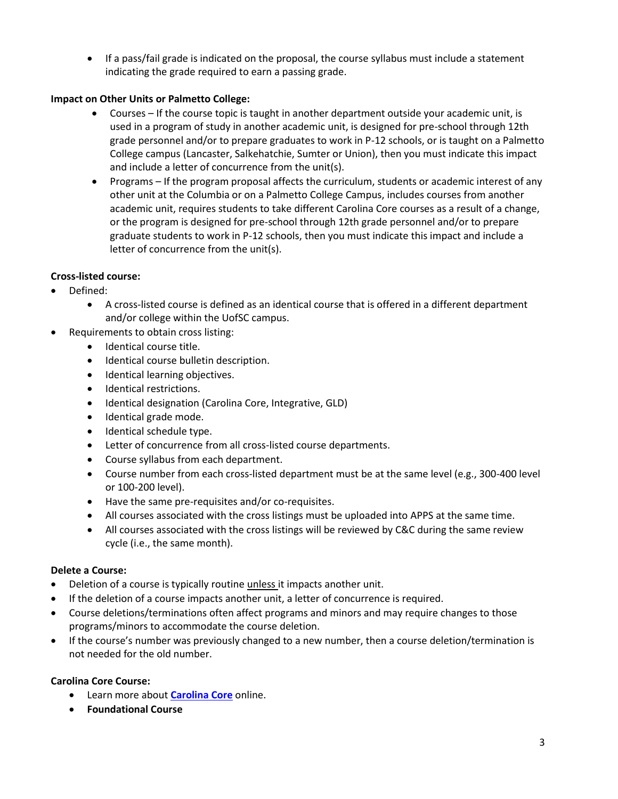• If a pass/fail grade is indicated on the proposal, the course syllabus must include a statement indicating the grade required to earn a passing grade.

# **Impact on Other Units or Palmetto College:**

- Courses If the course topic is taught in another department outside your academic unit, is used in a program of study in another academic unit, is designed for pre-school through 12th grade personnel and/or to prepare graduates to work in P-12 schools, or is taught on a Palmetto College campus (Lancaster, Salkehatchie, Sumter or Union), then you must indicate this impact and include a letter of concurrence from the unit(s).
- Programs If the program proposal affects the curriculum, students or academic interest of any other unit at the Columbia or on a Palmetto College Campus, includes courses from another academic unit, requires students to take different Carolina Core courses as a result of a change, or the program is designed for pre-school through 12th grade personnel and/or to prepare graduate students to work in P-12 schools, then you must indicate this impact and include a letter of concurrence from the unit(s).

# **Cross-listed course:**

- Defined:
	- A cross-listed course is defined as an identical course that is offered in a different department and/or college within the UofSC campus.
- Requirements to obtain cross listing:
	- Identical course title.
	- Identical course bulletin description.
	- Identical learning objectives.
	- Identical restrictions.
	- Identical designation (Carolina Core, Integrative, GLD)
	- Identical grade mode.
	- Identical schedule type.
	- Letter of concurrence from all cross-listed course departments.
	- Course syllabus from each department.
	- Course number from each cross-listed department must be at the same level (e.g., 300-400 level or 100-200 level).
	- Have the same pre-requisites and/or co-requisites.
	- All courses associated with the cross listings must be uploaded into APPS at the same time.
	- All courses associated with the cross listings will be reviewed by C&C during the same review cycle (i.e., the same month).

## **Delete a Course:**

- Deletion of a course is typically routine unless it impacts another unit.
- If the deletion of a course impacts another unit, a letter of concurrence is required.
- Course deletions/terminations often affect programs and minors and may require changes to those programs/minors to accommodate the course deletion.
- If the course's number was previously changed to a new number, then a course deletion/termination is not needed for the old number.

## **Carolina Core Course:**

- Learn more about **[Carolina Core](https://sc.edu/about/offices_and_divisions/provost/academicpriorities/undergradstudies/carolinacore/courses/foundational-courses.php?search=AIU)** online.
- **Foundational Course**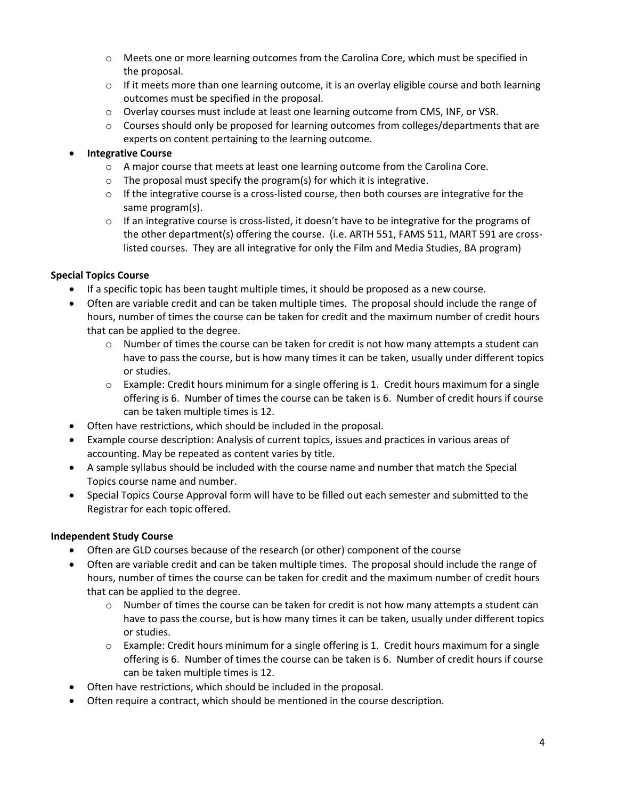- $\circ$  Meets one or more learning outcomes from the Carolina Core, which must be specified in the proposal.
- $\circ$  If it meets more than one learning outcome, it is an overlay eligible course and both learning outcomes must be specified in the proposal.
- o Overlay courses must include at least one learning outcome from CMS, INF, or VSR.
- o Courses should only be proposed for learning outcomes from colleges/departments that are experts on content pertaining to the learning outcome.

#### • **Integrative Course**

- o A major course that meets at least one learning outcome from the Carolina Core.
- $\circ$  The proposal must specify the program(s) for which it is integrative.
- $\circ$  If the integrative course is a cross-listed course, then both courses are integrative for the same program(s).
- $\circ$  If an integrative course is cross-listed, it doesn't have to be integrative for the programs of the other department(s) offering the course. (i.e. ARTH 551, FAMS 511, MART 591 are crosslisted courses. They are all integrative for only the Film and Media Studies, BA program)

## **Special Topics Course**

- If a specific topic has been taught multiple times, it should be proposed as a new course.
- Often are variable credit and can be taken multiple times. The proposal should include the range of hours, number of times the course can be taken for credit and the maximum number of credit hours that can be applied to the degree.
	- $\circ$  Number of times the course can be taken for credit is not how many attempts a student can have to pass the course, but is how many times it can be taken, usually under different topics or studies.
	- $\circ$  Example: Credit hours minimum for a single offering is 1. Credit hours maximum for a single offering is 6. Number of times the course can be taken is 6. Number of credit hours if course can be taken multiple times is 12.
- Often have restrictions, which should be included in the proposal.
- Example course description: Analysis of current topics, issues and practices in various areas of accounting. May be repeated as content varies by title.
- A sample syllabus should be included with the course name and number that match the Special Topics course name and number.
- Special Topics Course Approval form will have to be filled out each semester and submitted to the Registrar for each topic offered.

## **Independent Study Course**

- Often are GLD courses because of the research (or other) component of the course
- Often are variable credit and can be taken multiple times. The proposal should include the range of hours, number of times the course can be taken for credit and the maximum number of credit hours that can be applied to the degree.
	- $\circ$  Number of times the course can be taken for credit is not how many attempts a student can have to pass the course, but is how many times it can be taken, usually under different topics or studies.
	- $\circ$  Example: Credit hours minimum for a single offering is 1. Credit hours maximum for a single offering is 6. Number of times the course can be taken is 6. Number of credit hours if course can be taken multiple times is 12.
- Often have restrictions, which should be included in the proposal.
- Often require a contract, which should be mentioned in the course description.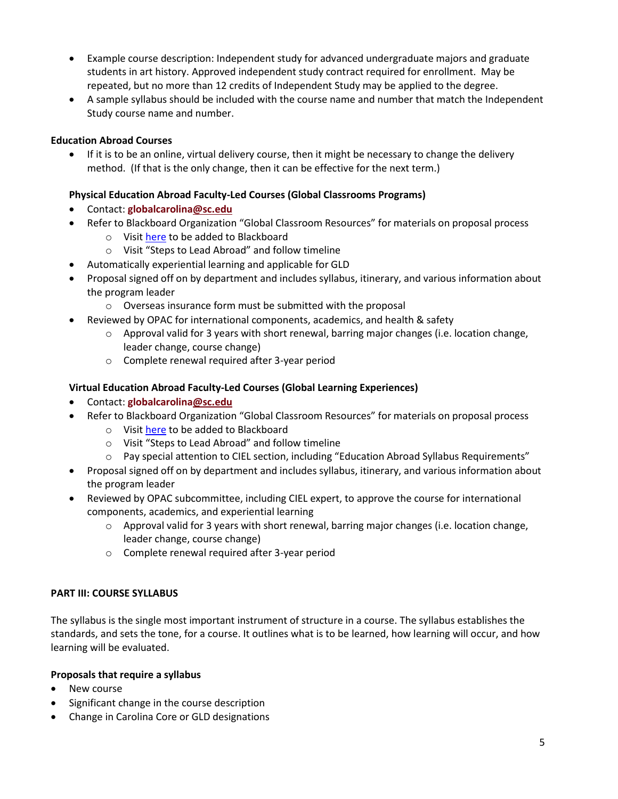- Example course description: Independent study for advanced undergraduate majors and graduate students in art history. Approved independent study contract required for enrollment. May be repeated, but no more than 12 credits of Independent Study may be applied to the degree.
- A sample syllabus should be included with the course name and number that match the Independent Study course name and number.

## **Education Abroad Courses**

• If it is to be an online, virtual delivery course, then it might be necessary to change the delivery method. (If that is the only change, then it can be effective for the next term.)

## **Physical Education Abroad Faculty-Led Courses (Global Classrooms Programs)**

- Contact: **[globalcarolina@sc.edu](mailto:globalcarolina@sc.edu?subject=)**
- Refer to Blackboard Organization "Global Classroom Resources" for materials on proposal process
	- o Visit [here](https://sc.edu/about/offices_and_divisions/study_abroad/opportunities_for_usc_faculty_and_staff/develop_a_short_term_program/index.php) to be added to Blackboard
	- o Visit "Steps to Lead Abroad" and follow timeline
- Automatically experiential learning and applicable for GLD
- Proposal signed off on by department and includes syllabus, itinerary, and various information about the program leader
	- o Overseas insurance form must be submitted with the proposal
- Reviewed by OPAC for international components, academics, and health & safety
	- $\circ$  Approval valid for 3 years with short renewal, barring major changes (i.e. location change, leader change, course change)
	- o Complete renewal required after 3-year period

#### **Virtual Education Abroad Faculty-Led Courses (Global Learning Experiences)**

- Contact: **[globalcarolina@sc.edu](mailto:globalcarolina@sc.edu?subject=)**
- Refer to Blackboard Organization "Global Classroom Resources" for materials on proposal process
	- o Visit [here](https://sc.edu/about/offices_and_divisions/study_abroad/opportunities_for_usc_faculty_and_staff/develop_a_short_term_program/index.php) to be added to Blackboard
	- o Visit "Steps to Lead Abroad" and follow timeline
	- $\circ$  Pay special attention to CIEL section, including "Education Abroad Syllabus Requirements"
- Proposal signed off on by department and includes syllabus, itinerary, and various information about the program leader
- Reviewed by OPAC subcommittee, including CIEL expert, to approve the course for international components, academics, and experiential learning
	- $\circ$  Approval valid for 3 years with short renewal, barring major changes (i.e. location change, leader change, course change)
	- o Complete renewal required after 3-year period

## **PART III: COURSE SYLLABUS**

The syllabus is the single most important instrument of structure in a course. The syllabus establishes the standards, and sets the tone, for a course. It outlines what is to be learned, how learning will occur, and how learning will be evaluated.

## **Proposals that require a syllabus**

- New course
- Significant change in the course description
- Change in Carolina Core or GLD designations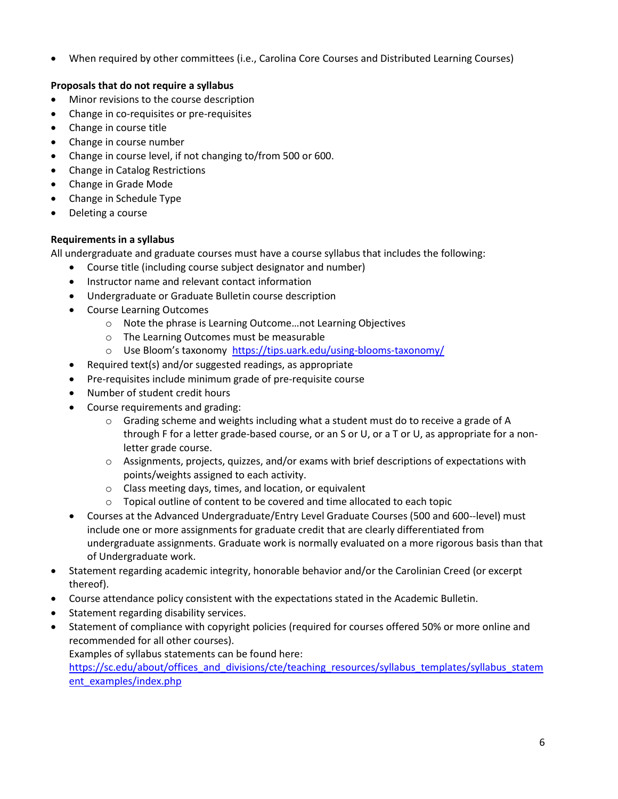• When required by other committees (i.e., Carolina Core Courses and Distributed Learning Courses)

# **Proposals that do not require a syllabus**

- Minor revisions to the course description
- Change in co-requisites or pre-requisites
- Change in course title
- Change in course number
- Change in course level, if not changing to/from 500 or 600.
- Change in Catalog Restrictions
- Change in Grade Mode
- Change in Schedule Type
- Deleting a course

## **Requirements in a syllabus**

All undergraduate and graduate courses must have a course syllabus that includes the following:

- Course title (including course subject designator and number)
- Instructor name and relevant contact information
- Undergraduate or Graduate Bulletin course description
- Course Learning Outcomes
	- o Note the phrase is Learning Outcome…not Learning Objectives
	- o The Learning Outcomes must be measurable
	- o Use Bloom's taxonomy <https://tips.uark.edu/using-blooms-taxonomy/>
- Required text(s) and/or suggested readings, as appropriate
- Pre-requisites include minimum grade of pre-requisite course
- Number of student credit hours
- Course requirements and grading:
	- $\circ$  Grading scheme and weights including what a student must do to receive a grade of A through F for a letter grade-based course, or an S or U, or a T or U, as appropriate for a nonletter grade course.
	- $\circ$  Assignments, projects, quizzes, and/or exams with brief descriptions of expectations with points/weights assigned to each activity.
	- o Class meeting days, times, and location, or equivalent
	- o Topical outline of content to be covered and time allocated to each topic
- Courses at the Advanced Undergraduate/Entry Level Graduate Courses (500 and 600--level) must include one or more assignments for graduate credit that are clearly differentiated from undergraduate assignments. Graduate work is normally evaluated on a more rigorous basis than that of Undergraduate work.
- Statement regarding academic integrity, honorable behavior and/or the Carolinian Creed (or excerpt thereof).
- Course attendance policy consistent with the expectations stated in the Academic Bulletin.
- Statement regarding disability services.
- Statement of compliance with copyright policies (required for courses offered 50% or more online and recommended for all other courses).

Examples of syllabus statements can be found here:

[https://sc.edu/about/offices\\_and\\_divisions/cte/teaching\\_resources/syllabus\\_templates/syllabus\\_statem](https://sc.edu/about/offices_and_divisions/cte/teaching_resources/syllabus_templates/syllabus_statement_examples/index.php) [ent\\_examples/index.php](https://sc.edu/about/offices_and_divisions/cte/teaching_resources/syllabus_templates/syllabus_statement_examples/index.php)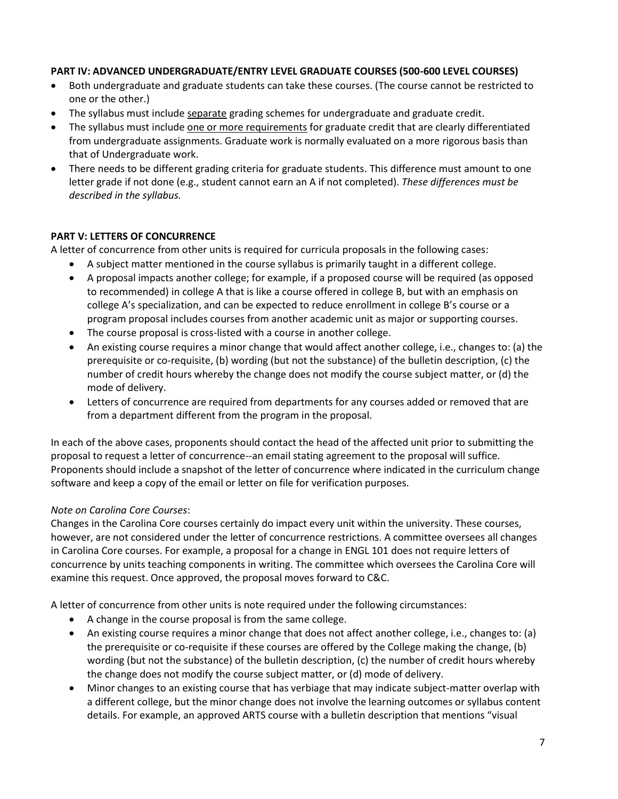## **PART IV: ADVANCED UNDERGRADUATE/ENTRY LEVEL GRADUATE COURSES (500-600 LEVEL COURSES)**

- Both undergraduate and graduate students can take these courses. (The course cannot be restricted to one or the other.)
- The syllabus must include separate grading schemes for undergraduate and graduate credit.
- The syllabus must include one or more requirements for graduate credit that are clearly differentiated from undergraduate assignments. Graduate work is normally evaluated on a more rigorous basis than that of Undergraduate work.
- There needs to be different grading criteria for graduate students. This difference must amount to one letter grade if not done (e.g., student cannot earn an A if not completed). *These differences must be described in the syllabus.*

#### **PART V: LETTERS OF CONCURRENCE**

A letter of concurrence from other units is required for curricula proposals in the following cases:

- A subject matter mentioned in the course syllabus is primarily taught in a different college.
- A proposal impacts another college; for example, if a proposed course will be required (as opposed to recommended) in college A that is like a course offered in college B, but with an emphasis on college A's specialization, and can be expected to reduce enrollment in college B's course or a program proposal includes courses from another academic unit as major or supporting courses.
- The course proposal is cross-listed with a course in another college.
- An existing course requires a minor change that would affect another college, i.e., changes to: (a) the prerequisite or co-requisite, (b) wording (but not the substance) of the bulletin description, (c) the number of credit hours whereby the change does not modify the course subject matter, or (d) the mode of delivery.
- Letters of concurrence are required from departments for any courses added or removed that are from a department different from the program in the proposal.

In each of the above cases, proponents should contact the head of the affected unit prior to submitting the proposal to request a letter of concurrence--an email stating agreement to the proposal will suffice. Proponents should include a snapshot of the letter of concurrence where indicated in the curriculum change software and keep a copy of the email or letter on file for verification purposes.

#### *Note on Carolina Core Courses*:

Changes in the Carolina Core courses certainly do impact every unit within the university. These courses, however, are not considered under the letter of concurrence restrictions. A committee oversees all changes in Carolina Core courses. For example, a proposal for a change in ENGL 101 does not require letters of concurrence by units teaching components in writing. The committee which oversees the Carolina Core will examine this request. Once approved, the proposal moves forward to C&C.

A letter of concurrence from other units is note required under the following circumstances:

- A change in the course proposal is from the same college.
- An existing course requires a minor change that does not affect another college, i.e., changes to: (a) the prerequisite or co-requisite if these courses are offered by the College making the change, (b) wording (but not the substance) of the bulletin description, (c) the number of credit hours whereby the change does not modify the course subject matter, or (d) mode of delivery.
- Minor changes to an existing course that has verbiage that may indicate subject-matter overlap with a different college, but the minor change does not involve the learning outcomes or syllabus content details. For example, an approved ARTS course with a bulletin description that mentions "visual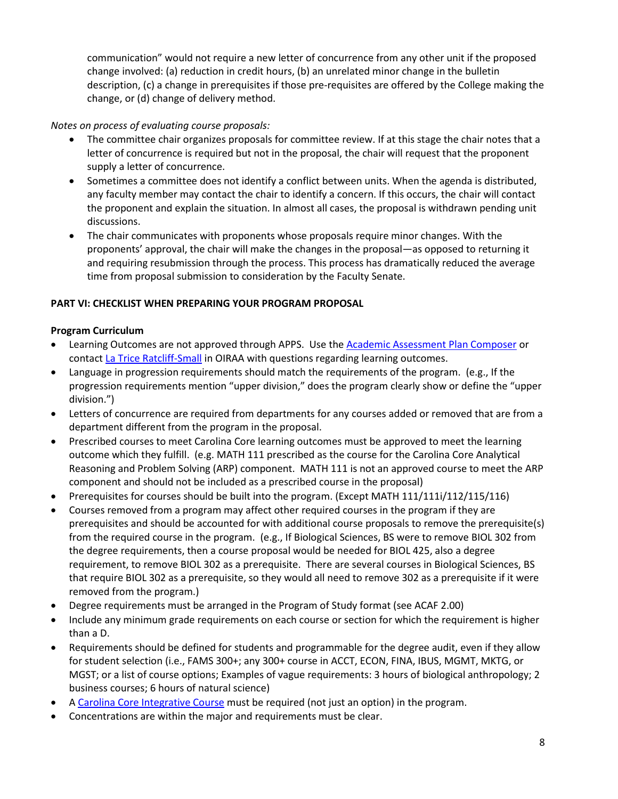communication" would not require a new letter of concurrence from any other unit if the proposed change involved: (a) reduction in credit hours, (b) an unrelated minor change in the bulletin description, (c) a change in prerequisites if those pre-requisites are offered by the College making the change, or (d) change of delivery method.

*Notes on process of evaluating course proposals:*

- The committee chair organizes proposals for committee review. If at this stage the chair notes that a letter of concurrence is required but not in the proposal, the chair will request that the proponent supply a letter of concurrence.
- Sometimes a committee does not identify a conflict between units. When the agenda is distributed, any faculty member may contact the chair to identify a concern. If this occurs, the chair will contact the proponent and explain the situation. In almost all cases, the proposal is withdrawn pending unit discussions.
- The chair communicates with proponents whose proposals require minor changes. With the proponents' approval, the chair will make the changes in the proposal—as opposed to returning it and requiring resubmission through the process. This process has dramatically reduced the average time from proposal submission to consideration by the Faculty Senate.

# **PART VI: CHECKLIST WHEN PREPARING YOUR PROGRAM PROPOSAL**

# **Program Curriculum**

- Learning Outcomes are not approved through APPS. Use the [Academic Assessment Plan Composer](http://assessmentplan.ipr.sc.edu/) or contact [La Trice Ratcliff-Small](mailto:ratclifl@email.sc.edu) in OIRAA with questions regarding learning outcomes.
- Language in progression requirements should match the requirements of the program. (e.g., If the progression requirements mention "upper division," does the program clearly show or define the "upper division.")
- Letters of concurrence are required from departments for any courses added or removed that are from a department different from the program in the proposal.
- Prescribed courses to meet Carolina Core learning outcomes must be approved to meet the learning outcome which they fulfill. (e.g. MATH 111 prescribed as the course for the Carolina Core Analytical Reasoning and Problem Solving (ARP) component. MATH 111 is not an approved course to meet the ARP component and should not be included as a prescribed course in the proposal)
- Prerequisites for courses should be built into the program. (Except MATH 111/111i/112/115/116)
- Courses removed from a program may affect other required courses in the program if they are prerequisites and should be accounted for with additional course proposals to remove the prerequisite(s) from the required course in the program. (e.g., If Biological Sciences, BS were to remove BIOL 302 from the degree requirements, then a course proposal would be needed for BIOL 425, also a degree requirement, to remove BIOL 302 as a prerequisite. There are several courses in Biological Sciences, BS that require BIOL 302 as a prerequisite, so they would all need to remove 302 as a prerequisite if it were removed from the program.)
- Degree requirements must be arranged in the Program of Study format (see ACAF 2.00)
- Include any minimum grade requirements on each course or section for which the requirement is higher than a D.
- Requirements should be defined for students and programmable for the degree audit, even if they allow for student selection (i.e., FAMS 300+; any 300+ course in ACCT, ECON, FINA, IBUS, MGMT, MKTG, or MGST; or a list of course options; Examples of vague requirements: 3 hours of biological anthropology; 2 business courses; 6 hours of natural science)
- A [Carolina Core Integrative Course](https://sc.edu/about/offices_and_divisions/provost/academicpriorities/undergradstudies/carolinacore/courses/integrative-courses.php) must be required (not just an option) in the program.
- Concentrations are within the major and requirements must be clear.